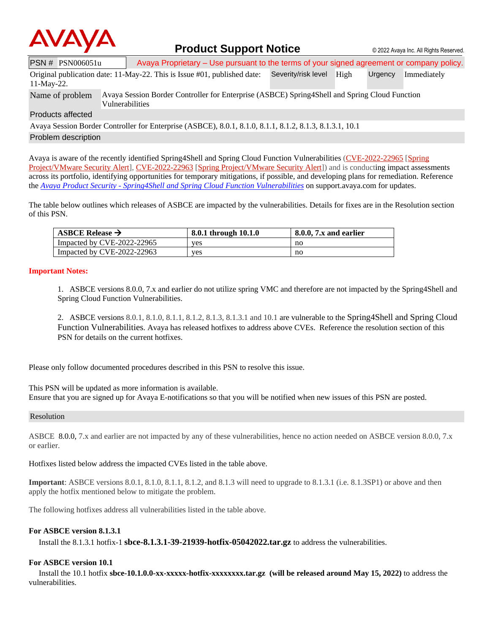

## **Product Support Notice**  $\circ$  2022 Avaya Inc. All Rights Reserved.

PSN # PSN006051u | Avaya Proprietary – Use pursuant to the terms of your signed agreement or company policy.

|            | Original publication date: 11-May-22. This is Issue #01, published date: Severity/risk level High              |  | Urgency Immediately |
|------------|----------------------------------------------------------------------------------------------------------------|--|---------------------|
| 11-May-22. |                                                                                                                |  |                     |
|            | Nexus of nucleon Aveve Cossion Dorder Controller for Enterprise (ACDCE) CorinadChell and Corina Cloud Eurotion |  |                     |

Name of problem Avaya Session Border Controller for Enterprise (ASBCE) Spring4Shell and Spring Cloud Function Vulnerabilities

#### Products affected

Avaya Session Border Controller for Enterprise (ASBCE), 8.0.1, 8.1.0, 8.1.1, 8.1.2, 8.1.3, 8.1.3.1, 10.1 Problem description

Avaya is aware of the recently identified Spring4Shell and Spring Cloud Function Vulnerabilities [\(CVE-2022-22965](https://cve.mitre.org/cgi-bin/cvename.cgi?name=CVE-2022-22965) [\[Spring](https://tanzu.vmware.com/security/cve-2022-22965) [Project/VMware](https://tanzu.vmware.com/security/cve-2022-22965) Security Alert], [CVE-2022-22963](https://cve.mitre.org/cgi-bin/cvename.cgi?name=CVE-2022-22963) [Spring [Project/VMware](https://tanzu.vmware.com/security/cve-2022-22963) Security Alert]) and is conducting impact assessments across its portfolio, identifying opportunities for temporary mitigations, if possible, and developing plans for remediation. Reference the *Avaya Product Security - [Spring4Shell and Spring Cloud Function Vulnerabilities](https://support.avaya.com/helpcenter/getGenericDetails?detailId=1399847128146)* on support.avaya.com for updates.

The table below outlines which releases of ASBCE are impacted by the vulnerabilities. Details for fixes are in the Resolution section of this PSN.

| ASBCE Release $\rightarrow$ | 8.0.1 through 10.1.0 | $8.0.0$ , $7x$ and earlier |
|-----------------------------|----------------------|----------------------------|
| Impacted by CVE-2022-22965  | ves                  | no                         |
| Impacted by CVE-2022-22963  | ves                  | no                         |

### **Important Notes:**

1. ASBCE versions 8.0.0, 7.x and earlier do not utilize spring VMC and therefore are not impacted by the Spring4Shell and Spring Cloud Function Vulnerabilities.

2. ASBCE versions 8.0.1, 8.1.0, 8.1.1, 8.1.2, 8.1.3, 8.1.3.1 and 10.1 are vulnerable to the Spring4Shell and Spring Cloud Function Vulnerabilities. Avaya has released hotfixes to address above CVEs. Reference the resolution section of this PSN for details on the current hotfixes.

Please only follow documented procedures described in this PSN to resolve this issue.

This PSN will be updated as more information is available. Ensure that you are signed up for Avaya E-notifications so that you will be notified when new issues of this PSN are posted.

#### Resolution

ASBCE 8.0.0, 7.x and earlier are not impacted by any of these vulnerabilities, hence no action needed on ASBCE version 8.0.0, 7.x or earlier.

Hotfixes listed below address the impacted CVEs listed in the table above.

**Important**: ASBCE versions 8.0.1, 8.1.0, 8.1.1, 8.1.2, and 8.1.3 will need to upgrade to 8.1.3.1 (i.e. 8.1.3SP1) or above and then apply the hotfix mentioned below to mitigate the problem.

The following hotfixes address all vulnerabilities listed in the table above.

### **For ASBCE version 8.1.3.1**

Install the 8.1.3.1 hotfix-1 **sbce-8.1.3.1-39-21939-hotfix-05042022.tar.gz** to address the vulnerabilities.

### **For ASBCE version 10.1**

 Install the 10.1 hotfix **sbce-10.1.0.0-xx-xxxxx-hotfix-xxxxxxxx.tar.gz (will be released around May 15, 2022)** to address the vulnerabilities.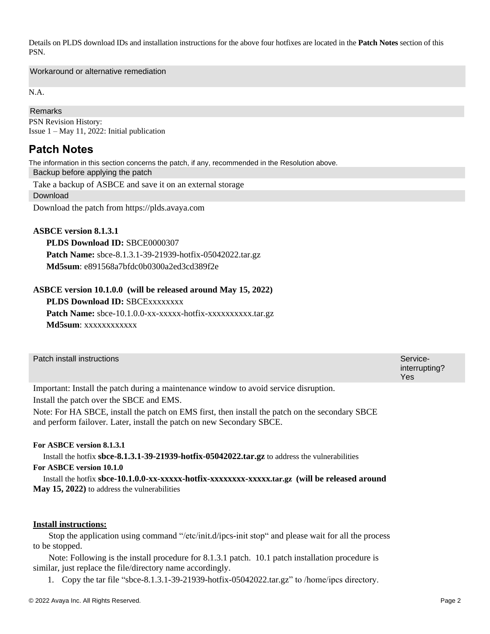Details on PLDS download IDs and installation instructions for the above four hotfixes are located in the **Patch Notes** section of this PSN.

Workaround or alternative remediation

N.A.

## Remarks

PSN Revision History: Issue 1 – May 11, 2022: Initial publication

## **Patch Notes**

The information in this section concerns the patch, if any, recommended in the Resolution above.

Backup before applying the patch

Take a backup of ASBCE and save it on an external storage

Download

Download the patch from https://plds.avaya.com

## **ASBCE version 8.1.3.1**

 **PLDS Download ID:** SBCE0000307 **Patch Name:** sbce-8.1.3.1-39-21939-hotfix-05042022.tar.gz **Md5sum**: e891568a7bfdc0b0300a2ed3cd389f2e

## **ASBCE version 10.1.0.0 (will be released around May 15, 2022)**

**PLDS Download ID:** SBCExxxxxxxx

Patch Name: sbce-10.1.0.0-xx-xxxxx-hotfix-xxxxxxxxxx.tar.gz **Md5sum**: xxxxxxxxxxxx

| Patch install instructions                                                            | Service-<br>interrupting?<br>Yes |
|---------------------------------------------------------------------------------------|----------------------------------|
| Important: Install the patch during a maintenance window to avoid service disruption. |                                  |

Install the patch over the SBCE and EMS.

Note: For HA SBCE, install the patch on EMS first, then install the patch on the secondary SBCE and perform failover. Later, install the patch on new Secondary SBCE.

## **For ASBCE version 8.1.3.1**

Install the hotfix **sbce-8.1.3.1-39-21939-hotfix-05042022.tar.gz** to address the vulnerabilities

## **For ASBCE version 10.1.0**

 Install the hotfix **sbce-10.1.0.0-xx-xxxxx-hotfix-xxxxxxxx-xxxxx.tar.gz (will be released around May 15, 2022)** to address the vulnerabilities

### **Install instructions:**

 Stop the application using command "/etc/init.d/ipcs-init stop" and please wait for all the process to be stopped.

 Note: Following is the install procedure for 8.1.3.1 patch. 10.1 patch installation procedure is similar, just replace the file/directory name accordingly.

1. Copy the tar file "sbce-8.1.3.1-39-21939-hotfix-05042022.tar.gz" to /home/ipcs directory.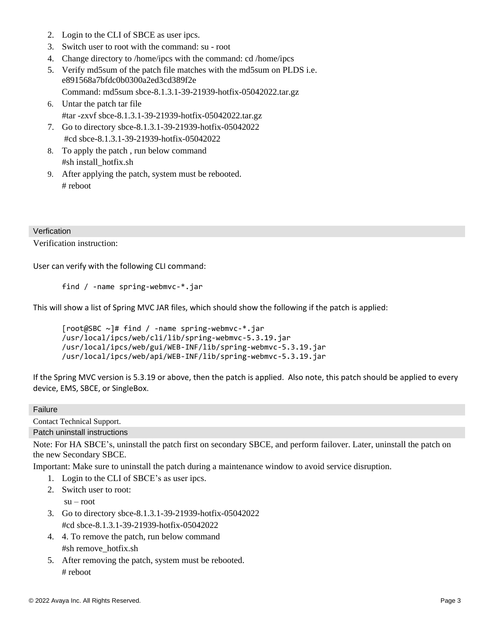- 2. Login to the CLI of SBCE as user ipcs.
- 3. Switch user to root with the command: su root
- 4. Change directory to /home/ipcs with the command: cd /home/ipcs
- 5. Verify md5sum of the patch file matches with the md5sum on PLDS i.e. e891568a7bfdc0b0300a2ed3cd389f2e
	- Command: md5sum sbce-8.1.3.1-39-21939-hotfix-05042022.tar.gz
- 6. Untar the patch tar file #tar -zxvf sbce-8.1.3.1-39-21939-hotfix-05042022.tar.gz
- 7. Go to directory sbce-8.1.3.1-39-21939-hotfix-05042022 #cd sbce-8.1.3.1-39-21939-hotfix-05042022
- 8. To apply the patch , run below command #sh install\_hotfix.sh
- 9. After applying the patch, system must be rebooted. # reboot

## **Verfication**

Verification instruction:

User can verify with the following CLI command:

```
find / -name spring-webmvc-*.jar
```
This will show a list of Spring MVC JAR files, which should show the following if the patch is applied:

```
[root@SBC ~]# find / -name spring-webmvc-*.jar
/usr/local/ipcs/web/cli/lib/spring-webmvc-5.3.19.jar
/usr/local/ipcs/web/gui/WEB-INF/lib/spring-webmvc-5.3.19.jar
/usr/local/ipcs/web/api/WEB-INF/lib/spring-webmvc-5.3.19.jar
```
If the Spring MVC version is 5.3.19 or above, then the patch is applied. Also note, this patch should be applied to every device, EMS, SBCE, or SingleBox.

## Failure

Contact Technical Support. Patch uninstall instructions

Note: For HA SBCE's, uninstall the patch first on secondary SBCE, and perform failover. Later, uninstall the patch on the new Secondary SBCE.

Important: Make sure to uninstall the patch during a maintenance window to avoid service disruption.

- 1. Login to the CLI of SBCE's as user ipcs.
- 2. Switch user to root:

 $su - root$ 

- 3. Go to directory sbce-8.1.3.1-39-21939-hotfix-05042022 #cd sbce-8.1.3.1-39-21939-hotfix-05042022
- 4. 4. To remove the patch, run below command #sh remove\_hotfix.sh
- 5. After removing the patch, system must be rebooted. # reboot